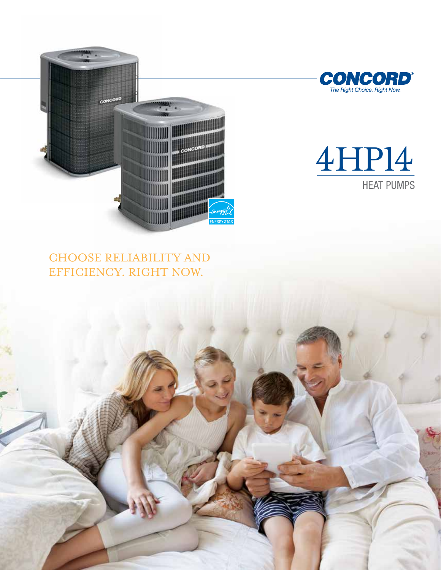



# 4HP14 HEAT PUMPS

## choose reliability and efficiency. right now.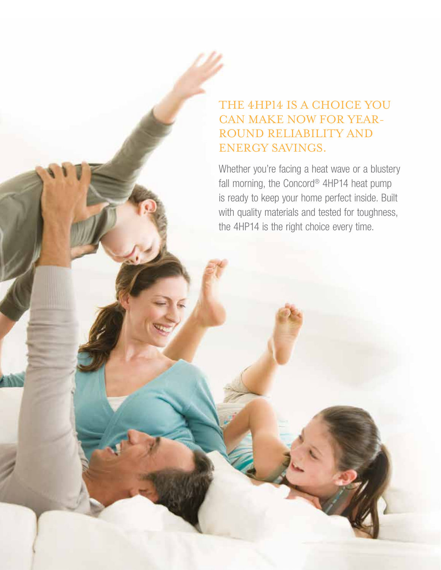## THE 4HP14 IS A CHOICE YOU can make now for yeaRround reliability and energy savings.

Whether you're facing a heat wave or a blustery fall morning, the Concord® 4HP14 heat pump is ready to keep your home perfect inside. Built with quality materials and tested for toughness, the 4HP14 is the right choice every time.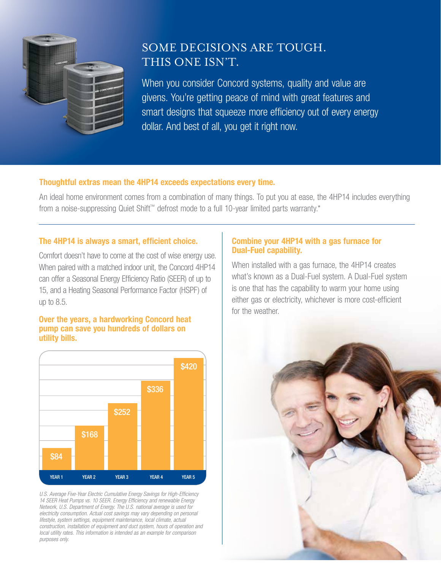

## Some decisions are tough. This one isn't.

When you consider Concord systems, quality and value are givens. You're getting peace of mind with great features and smart designs that squeeze more efficiency out of every energy dollar. And best of all, you get it right now.

#### Thoughtful extras mean the 4HP14 exceeds expectations every time.

An ideal home environment comes from a combination of many things. To put you at ease, the 4HP14 includes everything from a noise-suppressing Quiet Shift™ defrost mode to a full 10-year limited parts warranty.\*

#### The 4HP14 is always a smart, efficient choice.

Comfort doesn't have to come at the cost of wise energy use. When paired with a matched indoor unit, the Concord 4HP14 can offer a Seasonal Energy Efficiency Ratio (SEER) of up to 15, and a Heating Seasonal Performance Factor (HSPF) of up to 8.5.

#### Over the years, a hardworking Concord heat pump can save you hundreds of dollars on utility bills.



U.S. Average Five-Year Electric Cumulative Energy Savings for High-Efficiency *14 SEER Heat Pumps vs. 10 SEER. Energy Efficiency and renewable Energy Network, U.S. Department of Energy. The U.S. national average is used for electricity consumption. Actual cost savings may vary depending on personal lifestyle, system settings, equipment maintenance, local climate, actual construction, installation of equipment and duct system, hours of operation and local utility rates. This information is intended as an example for comparison purposes only.*

### Combine your 4HP14 with a gas furnace for Dual-Fuel capability.

When installed with a gas furnace, the 4HP14 creates what's known as a Dual-Fuel system. A Dual-Fuel system is one that has the capability to warm your home using either gas or electricity, whichever is more cost-efficient for the weather.